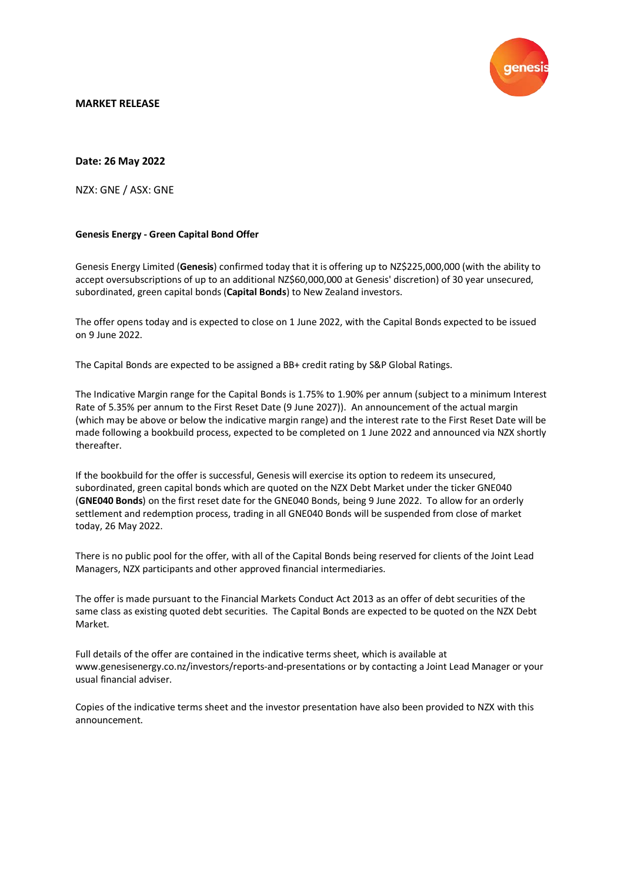

# **MARKET RELEASE**

# **Date: 26 May 2022**

NZX: GNE / ASX: GNE

### **Genesis Energy - Green Capital Bond Offer**

Genesis Energy Limited (**Genesis**) confirmed today that it is offering up to NZ\$225,000,000 (with the ability to accept oversubscriptions of up to an additional NZ\$60,000,000 at Genesis' discretion) of 30 year unsecured, subordinated, green capital bonds (**Capital Bonds**) to New Zealand investors.

The offer opens today and is expected to close on 1 June 2022, with the Capital Bonds expected to be issued on 9 June 2022.

The Capital Bonds are expected to be assigned a BB+ credit rating by S&P Global Ratings.

The Indicative Margin range for the Capital Bonds is 1.75% to 1.90% per annum (subject to a minimum Interest Rate of 5.35% per annum to the First Reset Date (9 June 2027)). An announcement of the actual margin (which may be above or below the indicative margin range) and the interest rate to the First Reset Date will be made following a bookbuild process, expected to be completed on 1 June 2022 and announced via NZX shortly thereafter.

If the bookbuild for the offer is successful, Genesis will exercise its option to redeem its unsecured, subordinated, green capital bonds which are quoted on the NZX Debt Market under the ticker GNE040 (**GNE040 Bonds**) on the first reset date for the GNE040 Bonds, being 9 June 2022. To allow for an orderly settlement and redemption process, trading in all GNE040 Bonds will be suspended from close of market today, 26 May 2022.

There is no public pool for the offer, with all of the Capital Bonds being reserved for clients of the Joint Lead Managers, NZX participants and other approved financial intermediaries.

The offer is made pursuant to the Financial Markets Conduct Act 2013 as an offer of debt securities of the same class as existing quoted debt securities. The Capital Bonds are expected to be quoted on the NZX Debt Market.

Full details of the offer are contained in the indicative terms sheet, which is available at www.genesisenergy.co.nz/investors/reports-and-presentations or by contacting a Joint Lead Manager or your usual financial adviser.

Copies of the indicative terms sheet and the investor presentation have also been provided to NZX with this announcement.